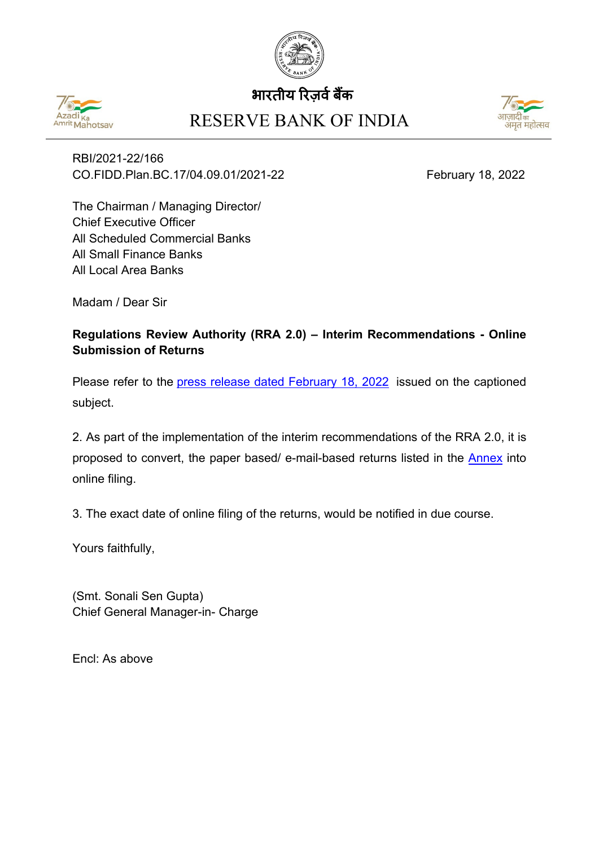

## भारतीय रिजर्व बैंक



## RESERVE BANK OF INDIA



RBI/2021-22/166 CO.FIDD.Plan.BC.17/04.09.01/2021-22 February 18, 2022

The Chairman / Managing Director/ Chief Executive Officer All Scheduled Commercial Banks All Small Finance Banks All Local Area Banks

Madam / Dear Sir

## **Regulations Review Authority (RRA 2.0) – Interim Recommendations - Online Submission of Returns**

Please refer to the [press release dated February 18, 2022](https://www.rbi.org.in/Scripts/BS_PressReleaseDisplay.aspx?prid=53293) issued on the captioned subject.

2. As part of the implementation of the interim recommendations of the RRA 2.0, it is proposed to convert, the paper based/ e-mail-based returns listed in the [Annex](#page-1-0) into online filing.

3. The exact date of online filing of the returns, would be notified in due course.

Yours faithfully,

(Smt. Sonali Sen Gupta) Chief General Manager-in- Charge

Encl: As above